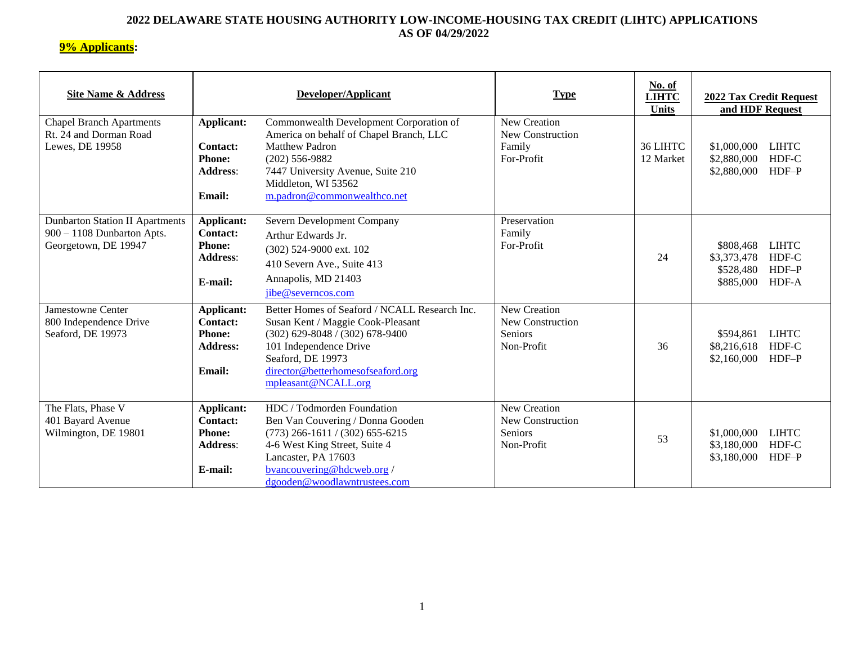### **2022 DELAWARE STATE HOUSING AUTHORITY LOW-INCOME-HOUSING TAX CREDIT (LIHTC) APPLICATIONS AS OF 04/29/2022**

# **9% Applicants:**

| <b>Site Name &amp; Address</b>                                                                 |                                                                                           | Developer/Applicant                                                                                                                                                                                                                | <b>Type</b>                                                             | No. of<br><b>LIHTC</b><br><b>Units</b> | 2022 Tax Credit Request<br>and HDF Request                                                      |  |
|------------------------------------------------------------------------------------------------|-------------------------------------------------------------------------------------------|------------------------------------------------------------------------------------------------------------------------------------------------------------------------------------------------------------------------------------|-------------------------------------------------------------------------|----------------------------------------|-------------------------------------------------------------------------------------------------|--|
| <b>Chapel Branch Apartments</b><br>Rt. 24 and Dorman Road<br>Lewes, DE 19958                   | <b>Applicant:</b><br>Contact:<br><b>Phone:</b><br><b>Address:</b><br><b>Email:</b>        | Commonwealth Development Corporation of<br>America on behalf of Chapel Branch, LLC<br><b>Matthew Padron</b><br>$(202)$ 556-9882<br>7447 University Avenue, Suite 210<br>Middleton, WI 53562<br>m.padron@commonwealthco.net         | <b>New Creation</b><br><b>New Construction</b><br>Family<br>For-Profit  | 36 LIHTC<br>12 Market                  | \$1,000,000<br><b>LIHTC</b><br>HDF-C<br>\$2,880,000<br>$HDF-P$<br>\$2,880,000                   |  |
| <b>Dunbarton Station II Apartments</b><br>$900 - 1108$ Dunbarton Apts.<br>Georgetown, DE 19947 | <b>Applicant:</b><br><b>Contact:</b><br><b>Phone:</b><br><b>Address:</b><br>E-mail:       | Severn Development Company<br>Arthur Edwards Jr.<br>(302) 524-9000 ext. 102<br>410 Severn Ave., Suite 413<br>Annapolis, MD 21403<br>jibe@severncos.com                                                                             | Preservation<br>Family<br>For-Profit                                    | 24                                     | <b>LIHTC</b><br>\$808,468<br>HDF-C<br>\$3,373,478<br>$HDF-P$<br>\$528,480<br>HDF-A<br>\$885,000 |  |
| <b>Jamestowne Center</b><br>800 Independence Drive<br>Seaford, DE 19973                        | <b>Applicant:</b><br><b>Contact:</b><br><b>Phone:</b><br><b>Address:</b><br><b>Email:</b> | Better Homes of Seaford / NCALL Research Inc.<br>Susan Kent / Maggie Cook-Pleasant<br>$(302)$ 629-8048 / (302) 678-9400<br>101 Independence Drive<br>Seaford, DE 19973<br>director@betterhomesofseaford.org<br>mpleasant@NCALL.org | <b>New Creation</b><br><b>New Construction</b><br>Seniors<br>Non-Profit | 36                                     | <b>LIHTC</b><br>\$594,861<br>HDF-C<br>\$8,216,618<br>$HDF-P$<br>\$2,160,000                     |  |
| The Flats, Phase V<br>401 Bayard Avenue<br>Wilmington, DE 19801                                | Applicant:<br><b>Contact:</b><br><b>Phone:</b><br><b>Address:</b><br>E-mail:              | HDC / Todmorden Foundation<br>Ben Van Couvering / Donna Gooden<br>$(773)$ 266-1611 / (302) 655-6215<br>4-6 West King Street, Suite 4<br>Lancaster, PA 17603<br>bvancouvering@hdcweb.org/<br>dgooden@woodlawntrustees.com           | <b>New Creation</b><br>New Construction<br>Seniors<br>Non-Profit        | 53                                     | \$1,000,000<br><b>LIHTC</b><br>HDF-C<br>\$3,180,000<br>$HDF-P$<br>\$3,180,000                   |  |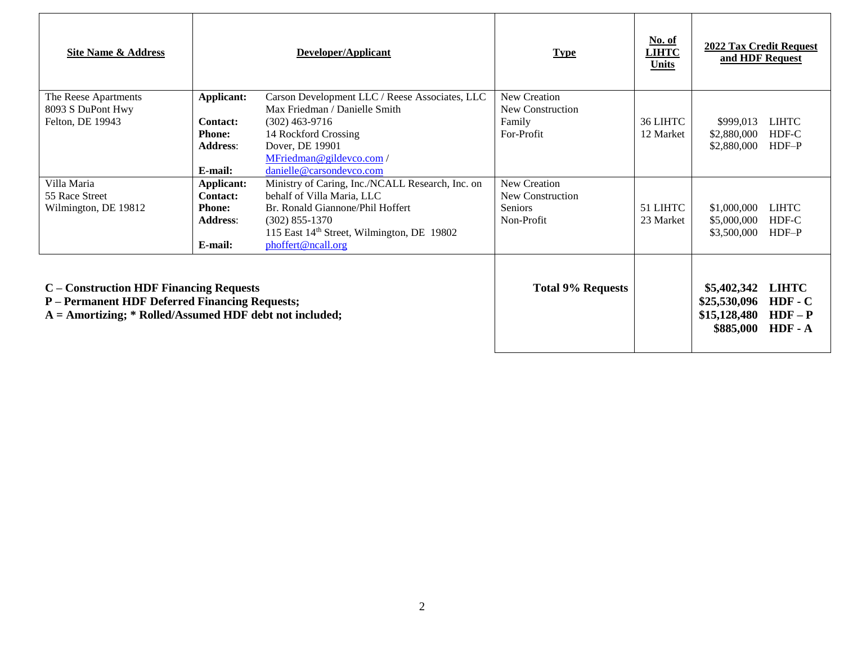| <b>Site Name &amp; Address</b>                                                                                                                         | Developer/Applicant                                                          |                                                                                                                                                                                                                        | <b>Type</b>                                                      | No. of<br><b>LIHTC</b><br><b>Units</b>                   | 2022 Tax Credit Request<br>and HDF Request          |                                  |
|--------------------------------------------------------------------------------------------------------------------------------------------------------|------------------------------------------------------------------------------|------------------------------------------------------------------------------------------------------------------------------------------------------------------------------------------------------------------------|------------------------------------------------------------------|----------------------------------------------------------|-----------------------------------------------------|----------------------------------|
| The Reese Apartments<br>8093 S DuPont Hwy<br>Felton, DE 19943                                                                                          | Applicant:<br><b>Contact:</b><br><b>Phone:</b><br><b>Address:</b><br>E-mail: | Carson Development LLC / Reese Associates, LLC<br>Max Friedman / Danielle Smith<br>$(302)$ 463-9716<br>14 Rockford Crossing<br>Dover, DE 19901<br>MFriedman@gildevco.com/<br>danielle@carsondevco.com                  | New Creation<br>New Construction<br>Family<br>For-Profit         | 36 LIHTC<br>12 Market                                    | \$999,013<br>\$2,880,000<br>\$2,880,000             | <b>LIHTC</b><br>HDF-C<br>$HDF-P$ |
| Villa Maria<br>55 Race Street<br>Wilmington, DE 19812                                                                                                  | <b>Applicant:</b><br>Contact:<br><b>Phone:</b><br><b>Address:</b><br>E-mail: | Ministry of Caring, Inc./NCALL Research, Inc. on<br>behalf of Villa Maria, LLC<br>Br. Ronald Giannone/Phil Hoffert<br>$(302)$ 855-1370<br>115 East 14 <sup>th</sup> Street, Wilmington, DE 19802<br>phoffert@ncall.org | New Creation<br>New Construction<br><b>Seniors</b><br>Non-Profit | 51 LIHTC<br>23 Market                                    | \$1,000,000<br>\$5,000,000<br>\$3,500,000           | <b>LIHTC</b><br>HDF-C<br>$HDF-P$ |
| C – Construction HDF Financing Requests<br>P - Permanent HDF Deferred Financing Requests;<br>$A =$ Amortizing; * Rolled/Assumed HDF debt not included; |                                                                              | <b>Total 9% Requests</b>                                                                                                                                                                                               |                                                                  | \$5,402,342<br>\$25,530,096<br>\$15,128,480<br>\$885,000 | <b>LIHTC</b><br>$HDF - C$<br>$HDF - P$<br>$HDF - A$ |                                  |